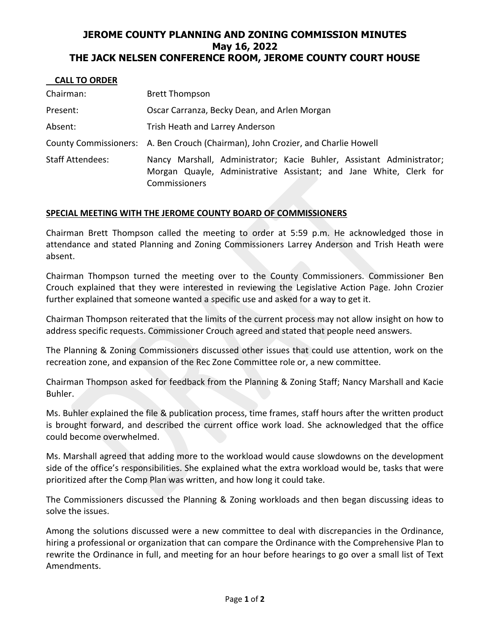## **JEROME COUNTY PLANNING AND ZONING COMMISSION MINUTES May 16, 2022 THE JACK NELSEN CONFERENCE ROOM, JEROME COUNTY COURT HOUSE**

| <b>UALL IV VIIDLII</b>  |                                                                                                                                                              |
|-------------------------|--------------------------------------------------------------------------------------------------------------------------------------------------------------|
| Chairman:               | <b>Brett Thompson</b>                                                                                                                                        |
| Present:                | Oscar Carranza, Becky Dean, and Arlen Morgan                                                                                                                 |
| Absent:                 | Trish Heath and Larrey Anderson                                                                                                                              |
|                         | County Commissioners: A. Ben Crouch (Chairman), John Crozier, and Charlie Howell                                                                             |
| <b>Staff Attendees:</b> | Nancy Marshall, Administrator; Kacie Buhler, Assistant Administrator;<br>Morgan Quayle, Administrative Assistant; and Jane White, Clerk for<br>Commissioners |

## **SPECIAL MEETING WITH THE JEROME COUNTY BOARD OF COMMISSIONERS**

 **CALL TO ORDER**

Chairman Brett Thompson called the meeting to order at 5:59 p.m. He acknowledged those in attendance and stated Planning and Zoning Commissioners Larrey Anderson and Trish Heath were absent.

Chairman Thompson turned the meeting over to the County Commissioners. Commissioner Ben Crouch explained that they were interested in reviewing the Legislative Action Page. John Crozier further explained that someone wanted a specific use and asked for a way to get it.

Chairman Thompson reiterated that the limits of the current process may not allow insight on how to address specific requests. Commissioner Crouch agreed and stated that people need answers.

The Planning & Zoning Commissioners discussed other issues that could use attention, work on the recreation zone, and expansion of the Rec Zone Committee role or, a new committee.

Chairman Thompson asked for feedback from the Planning & Zoning Staff; Nancy Marshall and Kacie Buhler.

Ms. Buhler explained the file & publication process, time frames, staff hours after the written product is brought forward, and described the current office work load. She acknowledged that the office could become overwhelmed.

Ms. Marshall agreed that adding more to the workload would cause slowdowns on the development side of the office's responsibilities. She explained what the extra workload would be, tasks that were prioritized after the Comp Plan was written, and how long it could take.

The Commissioners discussed the Planning & Zoning workloads and then began discussing ideas to solve the issues.

Among the solutions discussed were a new committee to deal with discrepancies in the Ordinance, hiring a professional or organization that can compare the Ordinance with the Comprehensive Plan to rewrite the Ordinance in full, and meeting for an hour before hearings to go over a small list of Text Amendments.